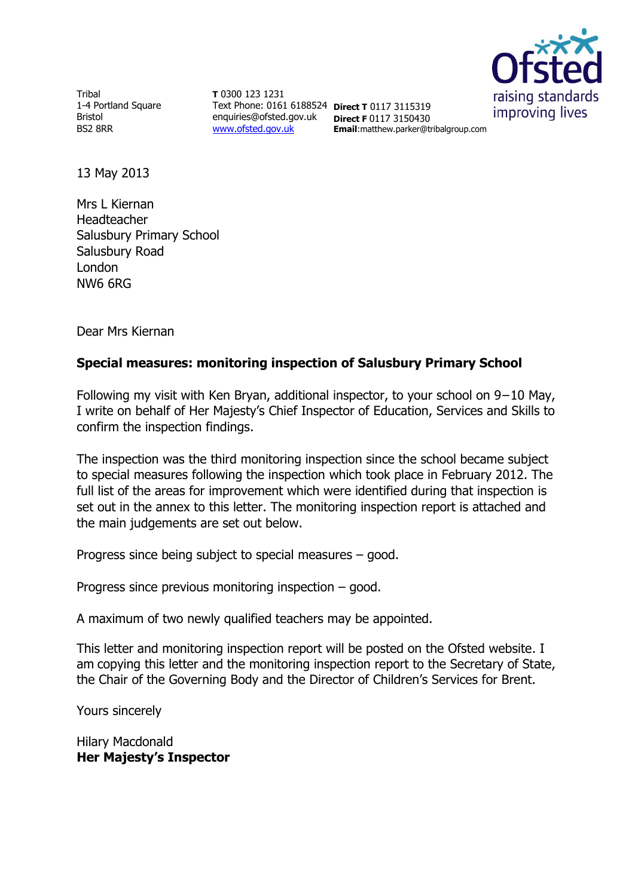

**Tribal** 1-4 Portland Square Bristol BS2 8RR

**T** 0300 123 1231 Text Phone: 0161 6188524 **Direct T** 0117 3115319 enquiries@ofsted.gov.uk [www.ofsted.gov.uk](http://www.ofsted.gov.uk/)

**Direct F** 0117 3150430 **Email**:matthew.parker@tribalgroup.com

13 May 2013

Mrs L Kiernan Headteacher Salusbury Primary School Salusbury Road London NW6 6RG

Dear Mrs Kiernan

#### **Special measures: monitoring inspection of Salusbury Primary School**

Following my visit with Ken Bryan, additional inspector, to your school on 9−10 May, I write on behalf of Her Majesty's Chief Inspector of Education, Services and Skills to confirm the inspection findings.

The inspection was the third monitoring inspection since the school became subject to special measures following the inspection which took place in February 2012. The full list of the areas for improvement which were identified during that inspection is set out in the annex to this letter. The monitoring inspection report is attached and the main judgements are set out below.

Progress since being subject to special measures – good.

Progress since previous monitoring inspection – good.

A maximum of two newly qualified teachers may be appointed.

This letter and monitoring inspection report will be posted on the Ofsted website. I am copying this letter and the monitoring inspection report to the Secretary of State, the Chair of the Governing Body and the Director of Children's Services for Brent.

Yours sincerely

Hilary Macdonald **Her Majesty's Inspector**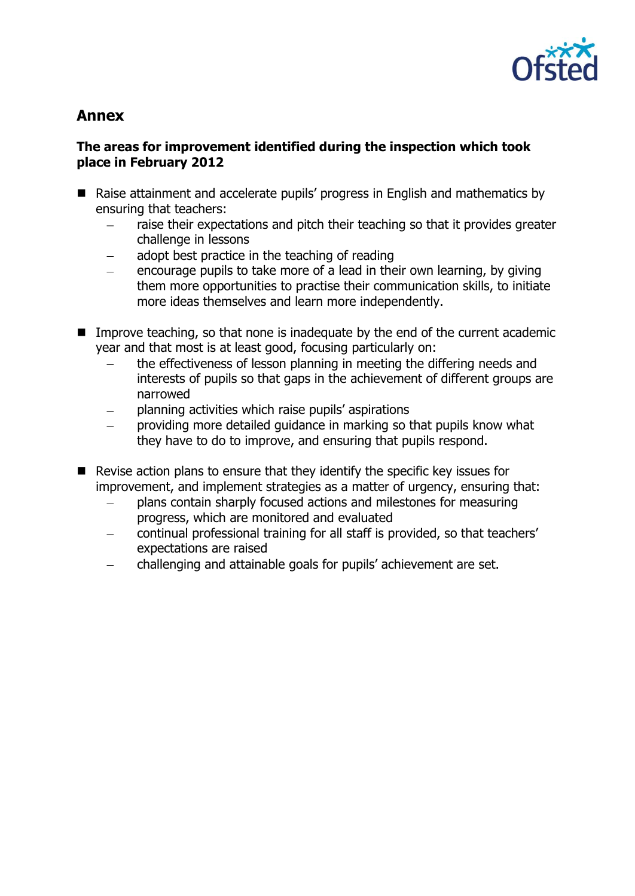

# **Annex**

#### **The areas for improvement identified during the inspection which took place in February 2012**

- Raise attainment and accelerate pupils' progress in English and mathematics by ensuring that teachers:
	- raise their expectations and pitch their teaching so that it provides greater challenge in lessons
	- adopt best practice in the teaching of reading
	- encourage pupils to take more of a lead in their own learning, by giving them more opportunities to practise their communication skills, to initiate more ideas themselves and learn more independently.
- Improve teaching, so that none is inadequate by the end of the current academic year and that most is at least good, focusing particularly on:
	- the effectiveness of lesson planning in meeting the differing needs and interests of pupils so that gaps in the achievement of different groups are narrowed
	- planning activities which raise pupils' aspirations
	- providing more detailed guidance in marking so that pupils know what they have to do to improve, and ensuring that pupils respond.
- $\blacksquare$  Revise action plans to ensure that they identify the specific key issues for improvement, and implement strategies as a matter of urgency, ensuring that:
	- plans contain sharply focused actions and milestones for measuring progress, which are monitored and evaluated
	- continual professional training for all staff is provided, so that teachers' expectations are raised
	- challenging and attainable goals for pupils' achievement are set. $\sim$   $-$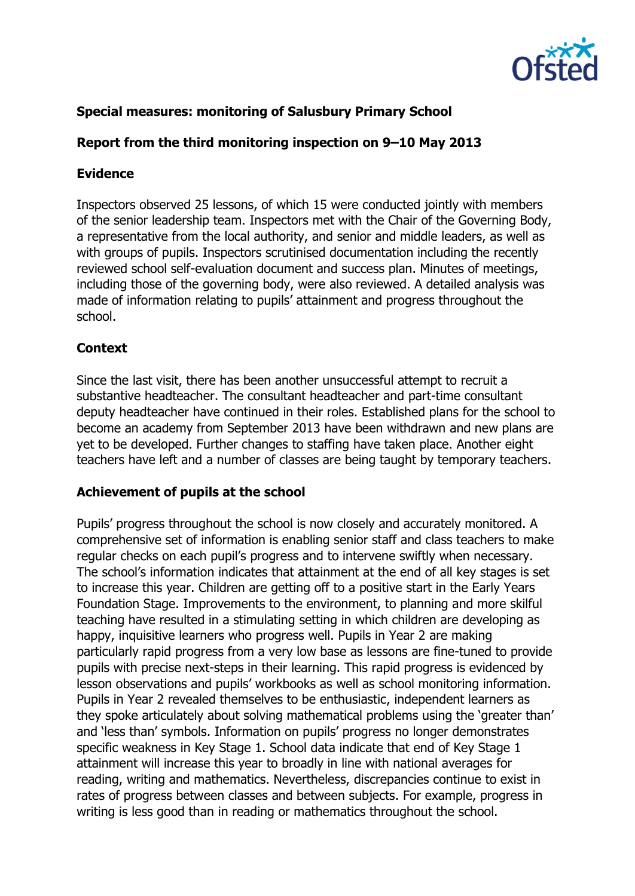

# **Special measures: monitoring of Salusbury Primary School**

# **Report from the third monitoring inspection on 9–10 May 2013**

#### **Evidence**

Inspectors observed 25 lessons, of which 15 were conducted jointly with members of the senior leadership team. Inspectors met with the Chair of the Governing Body, a representative from the local authority, and senior and middle leaders, as well as with groups of pupils. Inspectors scrutinised documentation including the recently reviewed school self-evaluation document and success plan. Minutes of meetings, including those of the governing body, were also reviewed. A detailed analysis was made of information relating to pupils' attainment and progress throughout the school.

## **Context**

Since the last visit, there has been another unsuccessful attempt to recruit a substantive headteacher. The consultant headteacher and part-time consultant deputy headteacher have continued in their roles. Established plans for the school to become an academy from September 2013 have been withdrawn and new plans are yet to be developed. Further changes to staffing have taken place. Another eight teachers have left and a number of classes are being taught by temporary teachers.

#### **Achievement of pupils at the school**

Pupils' progress throughout the school is now closely and accurately monitored. A comprehensive set of information is enabling senior staff and class teachers to make regular checks on each pupil's progress and to intervene swiftly when necessary. The school's information indicates that attainment at the end of all key stages is set to increase this year. Children are getting off to a positive start in the Early Years Foundation Stage. Improvements to the environment, to planning and more skilful teaching have resulted in a stimulating setting in which children are developing as happy, inquisitive learners who progress well. Pupils in Year 2 are making particularly rapid progress from a very low base as lessons are fine-tuned to provide pupils with precise next-steps in their learning. This rapid progress is evidenced by lesson observations and pupils' workbooks as well as school monitoring information. Pupils in Year 2 revealed themselves to be enthusiastic, independent learners as they spoke articulately about solving mathematical problems using the 'greater than' and 'less than' symbols. Information on pupils' progress no longer demonstrates specific weakness in Key Stage 1. School data indicate that end of Key Stage 1 attainment will increase this year to broadly in line with national averages for reading, writing and mathematics. Nevertheless, discrepancies continue to exist in rates of progress between classes and between subjects. For example, progress in writing is less good than in reading or mathematics throughout the school.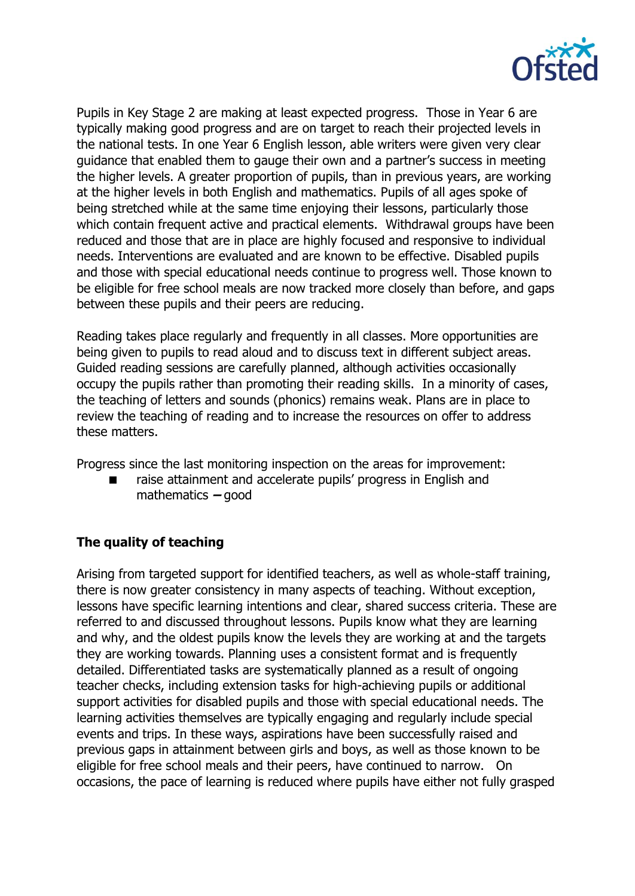

Pupils in Key Stage 2 are making at least expected progress. Those in Year 6 are typically making good progress and are on target to reach their projected levels in the national tests. In one Year 6 English lesson, able writers were given very clear guidance that enabled them to gauge their own and a partner's success in meeting the higher levels. A greater proportion of pupils, than in previous years, are working at the higher levels in both English and mathematics. Pupils of all ages spoke of being stretched while at the same time enjoying their lessons, particularly those which contain frequent active and practical elements. Withdrawal groups have been reduced and those that are in place are highly focused and responsive to individual needs. Interventions are evaluated and are known to be effective. Disabled pupils and those with special educational needs continue to progress well. Those known to be eligible for free school meals are now tracked more closely than before, and gaps between these pupils and their peers are reducing.

Reading takes place regularly and frequently in all classes. More opportunities are being given to pupils to read aloud and to discuss text in different subject areas. Guided reading sessions are carefully planned, although activities occasionally occupy the pupils rather than promoting their reading skills. In a minority of cases, the teaching of letters and sounds (phonics) remains weak. Plans are in place to review the teaching of reading and to increase the resources on offer to address these matters.

Progress since the last monitoring inspection on the areas for improvement:

 raise attainment and accelerate pupils' progress in English and mathematics **–** good

## **The quality of teaching**

Arising from targeted support for identified teachers, as well as whole-staff training, there is now greater consistency in many aspects of teaching. Without exception, lessons have specific learning intentions and clear, shared success criteria. These are referred to and discussed throughout lessons. Pupils know what they are learning and why, and the oldest pupils know the levels they are working at and the targets they are working towards. Planning uses a consistent format and is frequently detailed. Differentiated tasks are systematically planned as a result of ongoing teacher checks, including extension tasks for high-achieving pupils or additional support activities for disabled pupils and those with special educational needs. The learning activities themselves are typically engaging and regularly include special events and trips. In these ways, aspirations have been successfully raised and previous gaps in attainment between girls and boys, as well as those known to be eligible for free school meals and their peers, have continued to narrow. On occasions, the pace of learning is reduced where pupils have either not fully grasped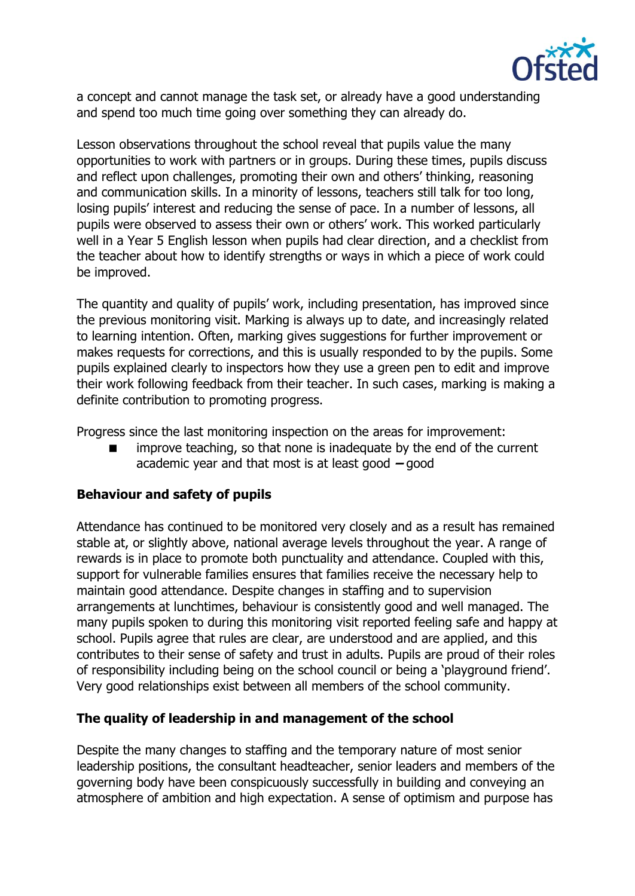

a concept and cannot manage the task set, or already have a good understanding and spend too much time going over something they can already do.

Lesson observations throughout the school reveal that pupils value the many opportunities to work with partners or in groups. During these times, pupils discuss and reflect upon challenges, promoting their own and others' thinking, reasoning and communication skills. In a minority of lessons, teachers still talk for too long, losing pupils' interest and reducing the sense of pace. In a number of lessons, all pupils were observed to assess their own or others' work. This worked particularly well in a Year 5 English lesson when pupils had clear direction, and a checklist from the teacher about how to identify strengths or ways in which a piece of work could be improved.

The quantity and quality of pupils' work, including presentation, has improved since the previous monitoring visit. Marking is always up to date, and increasingly related to learning intention. Often, marking gives suggestions for further improvement or makes requests for corrections, and this is usually responded to by the pupils. Some pupils explained clearly to inspectors how they use a green pen to edit and improve their work following feedback from their teacher. In such cases, marking is making a definite contribution to promoting progress.

Progress since the last monitoring inspection on the areas for improvement:

 improve teaching, so that none is inadequate by the end of the current academic year and that most is at least good **–** good

## **Behaviour and safety of pupils**

Attendance has continued to be monitored very closely and as a result has remained stable at, or slightly above, national average levels throughout the year. A range of rewards is in place to promote both punctuality and attendance. Coupled with this, support for vulnerable families ensures that families receive the necessary help to maintain good attendance. Despite changes in staffing and to supervision arrangements at lunchtimes, behaviour is consistently good and well managed. The many pupils spoken to during this monitoring visit reported feeling safe and happy at school. Pupils agree that rules are clear, are understood and are applied, and this contributes to their sense of safety and trust in adults. Pupils are proud of their roles of responsibility including being on the school council or being a 'playground friend'. Very good relationships exist between all members of the school community.

## **The quality of leadership in and management of the school**

Despite the many changes to staffing and the temporary nature of most senior leadership positions, the consultant headteacher, senior leaders and members of the governing body have been conspicuously successfully in building and conveying an atmosphere of ambition and high expectation. A sense of optimism and purpose has